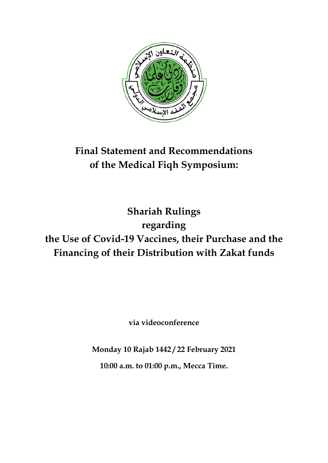

# **Final Statement and Recommendations of the Medical Fiqh Symposium:**

**Shariah Rulings regarding the Use of Covid-19 Vaccines, their Purchase and the Financing of their Distribution with Zakat funds**

**via videoconference**

**Monday 10 Rajab 1442 / 22 February 2021**

**10:00 a.m. to 01:00 p.m., Mecca Time.**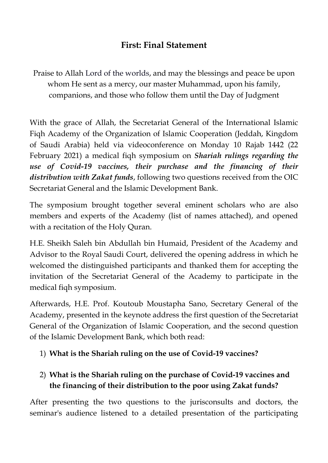## **First: Final Statement**

Praise to Allah Lord of the worlds, and may the blessings and peace be upon whom He sent as a mercy, our master Muhammad, upon his family, companions, and those who follow them until the Day of Judgment

With the grace of Allah, the Secretariat General of the International Islamic Fiqh Academy of the Organization of Islamic Cooperation (Jeddah, Kingdom of Saudi Arabia) held via videoconference on Monday 10 Rajab 1442 (22 February 2021) a medical fiqh symposium on *Shariah rulings regarding the use of Covid-19 vaccines, their purchase and the financing of their distribution with Zakat funds*, following two questions received from the OIC Secretariat General and the Islamic Development Bank.

The symposium brought together several eminent scholars who are also members and experts of the Academy (list of names attached), and opened with a recitation of the Holy Quran.

H.E. Sheikh Saleh bin Abdullah bin Humaid, President of the Academy and Advisor to the Royal Saudi Court, delivered the opening address in which he welcomed the distinguished participants and thanked them for accepting the invitation of the Secretariat General of the Academy to participate in the medical fiqh symposium.

Afterwards, H.E. Prof. Koutoub Moustapha Sano, Secretary General of the Academy, presented in the keynote address the first question of the Secretariat General of the Organization of Islamic Cooperation, and the second question of the Islamic Development Bank, which both read:

- 1) **What is the Shariah ruling on the use of Covid-19 vaccines?**
- 2) **What is the Shariah ruling on the purchase of Covid-19 vaccines and the financing of their distribution to the poor using Zakat funds?**

After presenting the two questions to the jurisconsults and doctors, the seminar's audience listened to a detailed presentation of the participating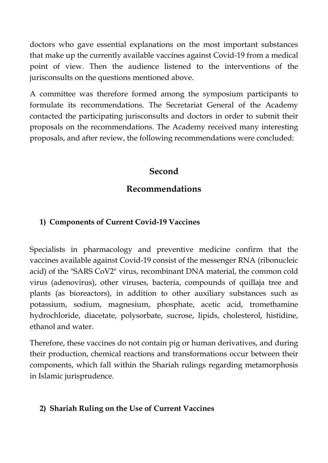doctors who gave essential explanations on the most important substances that make up the currently available vaccines against Covid-19 from a medical point of view. Then the audience listened to the interventions of the jurisconsults on the questions mentioned above.

A committee was therefore formed among the symposium participants to formulate its recommendations. The Secretariat General of the Academy contacted the participating jurisconsults and doctors in order to submit their proposals on the recommendations. The Academy received many interesting proposals, and after review, the following recommendations were concluded:

## **Second**

## **Recommendations**

### **1) Components of Current Covid-19 Vaccines**

Specialists in pharmacology and preventive medicine confirm that the vaccines available against Covid-19 consist of the messenger RNA (ribonucleic acid) of the "SARS CoV2" virus, recombinant DNA material, the common cold virus (adenovirus), other viruses, bacteria, compounds of quillaja tree and plants (as bioreactors), in addition to other auxiliary substances such as potassium, sodium, magnesium, phosphate, acetic acid, tromethamine hydrochloride, diacetate, polysorbate, sucrose, lipids, cholesterol, histidine, ethanol and water.

Therefore, these vaccines do not contain pig or human derivatives, and during their production, chemical reactions and transformations occur between their components, which fall within the Shariah rulings regarding metamorphosis in Islamic jurisprudence.

#### **2) Shariah Ruling on the Use of Current Vaccines**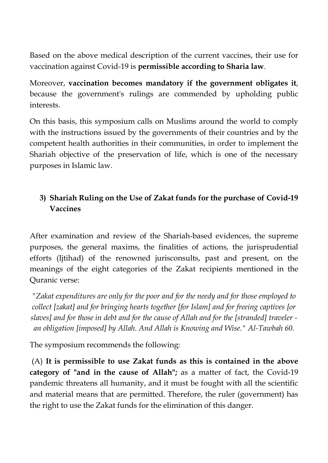Based on the above medical description of the current vaccines, their use for vaccination against Covid-19 is **permissible according to Sharia law**.

Moreover, **vaccination becomes mandatory if the government obligates it**, because the government's rulings are commended by upholding public interests.

On this basis, this symposium calls on Muslims around the world to comply with the instructions issued by the governments of their countries and by the competent health authorities in their communities, in order to implement the Shariah objective of the preservation of life, which is one of the necessary purposes in Islamic law.

## **3) Shariah Ruling on the Use of Zakat funds for the purchase of Covid-19 Vaccines**

After examination and review of the Shariah-based evidences, the supreme purposes, the general maxims, the finalities of actions, the jurisprudential efforts (Ijtihad) of the renowned jurisconsults, past and present, on the meanings of the eight categories of the Zakat recipients mentioned in the Quranic verse:

*"Zakat expenditures are only for the poor and for the needy and for those employed to collect [zakat] and for bringing hearts together [for Islam] and for freeing captives [or slaves] and for those in debt and for the cause of Allah and for the [stranded] traveler an obligation [imposed] by Allah. And Allah is Knowing and Wise." Al-Tawbah 60.*

The symposium recommends the following:

(A) **It is permissible to use Zakat funds as this is contained in the above category of "and in the cause of Allah";** as a matter of fact, the Covid-19 pandemic threatens all humanity, and it must be fought with all the scientific and material means that are permitted. Therefore, the ruler (government) has the right to use the Zakat funds for the elimination of this danger.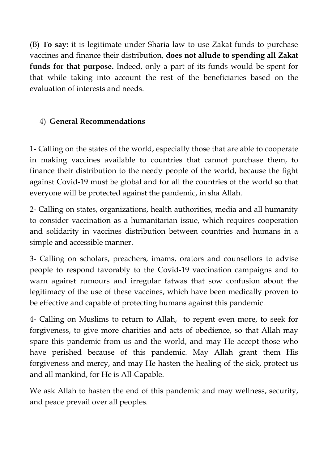(B) **To say:** it is legitimate under Sharia law to use Zakat funds to purchase vaccines and finance their distribution, **does not allude to spending all Zakat funds for that purpose.** Indeed, only a part of its funds would be spent for that while taking into account the rest of the beneficiaries based on the evaluation of interests and needs.

### 4) **General Recommendations**

1- Calling on the states of the world, especially those that are able to cooperate in making vaccines available to countries that cannot purchase them, to finance their distribution to the needy people of the world, because the fight against Covid-19 must be global and for all the countries of the world so that everyone will be protected against the pandemic, in sha Allah.

2- Calling on states, organizations, health authorities, media and all humanity to consider vaccination as a humanitarian issue, which requires cooperation and solidarity in vaccines distribution between countries and humans in a simple and accessible manner.

3- Calling on scholars, preachers, imams, orators and counsellors to advise people to respond favorably to the Covid-19 vaccination campaigns and to warn against rumours and irregular fatwas that sow confusion about the legitimacy of the use of these vaccines, which have been medically proven to be effective and capable of protecting humans against this pandemic.

4- Calling on Muslims to return to Allah, to repent even more, to seek for forgiveness, to give more charities and acts of obedience, so that Allah may spare this pandemic from us and the world, and may He accept those who have perished because of this pandemic. May Allah grant them His forgiveness and mercy, and may He hasten the healing of the sick, protect us and all mankind, for He is All-Capable.

We ask Allah to hasten the end of this pandemic and may wellness, security, and peace prevail over all peoples.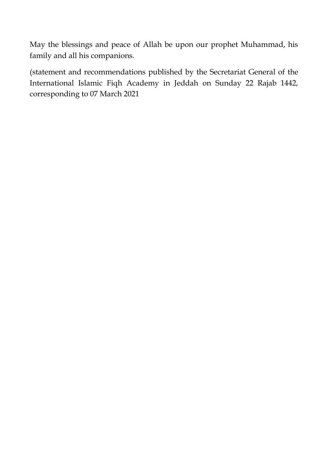May the blessings and peace of Allah be upon our prophet Muhammad, his family and all his companions.

(statement and recommendations published by the Secretariat General of the International Islamic Fiqh Academy in Jeddah on Sunday 22 Rajab 1442, corresponding to 07 March 2021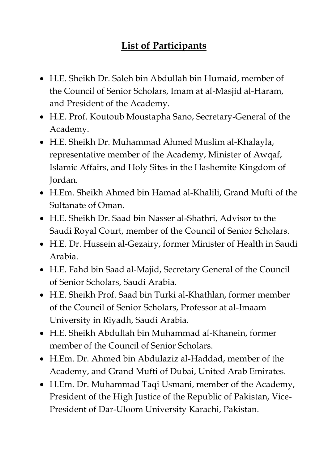## **List of Participants**

- H.E. Sheikh Dr. Saleh bin Abdullah bin Humaid, member of the Council of Senior Scholars, Imam at al-Masjid al-Haram, and President of the Academy.
- H.E. Prof. Koutoub Moustapha Sano, Secretary-General of the Academy.
- H.E. Sheikh Dr. Muhammad Ahmed Muslim al-Khalayla, representative member of the Academy, Minister of Awqaf, Islamic Affairs, and Holy Sites in the Hashemite Kingdom of Jordan.
- H.Em. Sheikh Ahmed bin Hamad al-Khalili, Grand Mufti of the Sultanate of Oman.
- H.E. Sheikh Dr. Saad bin Nasser al-Shathri, Advisor to the Saudi Royal Court, member of the Council of Senior Scholars.
- H.E. Dr. Hussein al-Gezairy, former Minister of Health in Saudi Arabia.
- H.E. Fahd bin Saad al-Majid, Secretary General of the Council of Senior Scholars, Saudi Arabia.
- H.E. Sheikh Prof. Saad bin Turki al-Khathlan, former member of the Council of Senior Scholars, Professor at al-Imaam University in Riyadh, Saudi Arabia.
- H.E. Sheikh Abdullah bin Muhammad al-Khanein, former member of the Council of Senior Scholars.
- H.Em. Dr. Ahmed bin Abdulaziz al-Haddad, member of the Academy, and Grand Mufti of Dubai, United Arab Emirates.
- H.Em. Dr. Muhammad Taqi Usmani, member of the Academy, President of the High Justice of the Republic of Pakistan, Vice-President of Dar-Uloom University Karachi, Pakistan.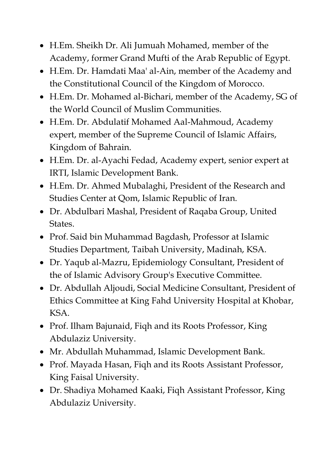- H.Em. Sheikh Dr. Ali Jumuah Mohamed, member of the Academy, former Grand Mufti of the Arab Republic of Egypt.
- H.Em. Dr. Hamdati Maa' al-Ain, member of the Academy and the Constitutional Council of the Kingdom of Morocco.
- H.Em. Dr. Mohamed al-Bichari, member of the Academy, SG of the World Council of Muslim Communities.
- H.Em. Dr. Abdulatif Mohamed Aal-Mahmoud, Academy expert, member of the Supreme Council of Islamic Affairs, Kingdom of Bahrain.
- H.Em. Dr. al-Ayachi Fedad, Academy expert, senior expert at IRTI, Islamic Development Bank.
- H.Em. Dr. Ahmed Mubalaghi, President of the Research and Studies Center at Qom, Islamic Republic of Iran.
- Dr. Abdulbari Mashal, President of Raqaba Group, United States.
- Prof. Said bin Muhammad Bagdash, Professor at Islamic Studies Department, Taibah University, Madinah, KSA.
- Dr. Yaqub al-Mazru, Epidemiology Consultant, President of the of Islamic Advisory Group's Executive Committee.
- Dr. Abdullah Aljoudi, Social Medicine Consultant, President of Ethics Committee at King Fahd University Hospital at Khobar, KSA.
- Prof. Ilham Bajunaid, Fiqh and its Roots Professor, King Abdulaziz University.
- Mr. Abdullah Muhammad, Islamic Development Bank.
- Prof. Mayada Hasan, Fiqh and its Roots Assistant Professor, King Faisal University.
- Dr. Shadiya Mohamed Kaaki, Fiqh Assistant Professor, King Abdulaziz University.